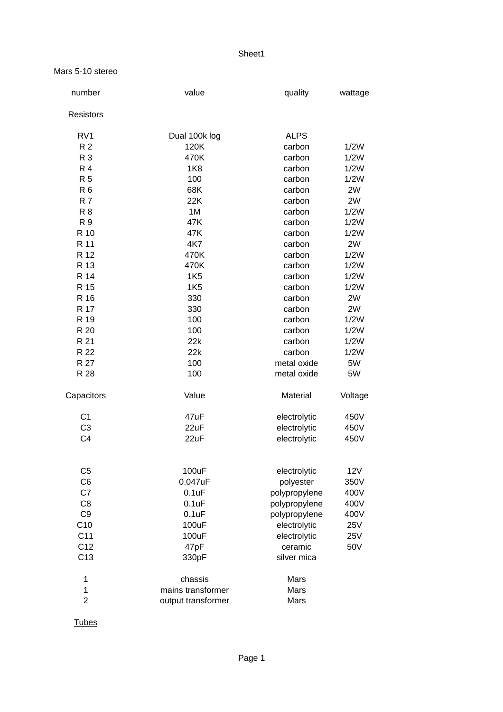## Sheet1

## Mars 5-10 stereo

| number           | value              | quality              | wattage |
|------------------|--------------------|----------------------|---------|
| <b>Resistors</b> |                    |                      |         |
| RV1              | Dual 100k log      | <b>ALPS</b>          |         |
| R <sub>2</sub>   | 120K               | carbon               | 1/2W    |
| <b>R3</b>        | 470K               | carbon               | 1/2W    |
| <b>R4</b>        | 1K8                | carbon               | 1/2W    |
| R <sub>5</sub>   | 100                | carbon               | 1/2W    |
| R <sub>6</sub>   | 68K                | carbon               | 2W      |
| <b>R7</b>        | 22K                | carbon               | 2W      |
| <b>R8</b>        | 1M                 | carbon               | 1/2W    |
| R 9              | 47K                | 1/2W<br>carbon       |         |
| R 10             | 47K                | carbon               | 1/2W    |
| R 11             | 4K7                | 2W<br>carbon         |         |
| R 12             | 470K               | carbon               | 1/2W    |
| R 13             | 470K               | carbon<br>1/2W       |         |
| R 14             | <b>1K5</b>         | carbon               | 1/2W    |
| R 15             | <b>1K5</b>         | carbon               | 1/2W    |
| R 16             | 330                | carbon               | 2W      |
| R 17             | 330                | carbon               | 2W      |
| R 19             | 100                | carbon               | 1/2W    |
| R 20             | 100                | carbon               | 1/2W    |
| R 21             | 22k                | carbon               | 1/2W    |
| R 22             | 22k                | carbon               | 1/2W    |
| R 27             | 100                | metal oxide          | 5W      |
| R 28             | 100                | metal oxide          | 5W      |
| Capacitors       | Value              | Material             | Voltage |
| C1               | 47uF               | electrolytic         | 450V    |
| C <sub>3</sub>   | 22uF               | electrolytic         | 450V    |
| C <sub>4</sub>   | 22uF               | electrolytic<br>450V |         |
| C <sub>5</sub>   | 100uF              | electrolytic         | 12V     |
| C6               | 0.047uF            | polyester            | 350V    |
| C7               | $0.1$ uF           | polypropylene        | 400V    |
| C <sub>8</sub>   | $0.1$ uF           | polypropylene        | 400V    |
| C <sub>9</sub>   | $0.1$ u $F$        | polypropylene        | 400V    |
| C10              | 100uF              | electrolytic         | 25V     |
| C11              | 100uF              | electrolytic         | 25V     |
| C12              | 47pF               | ceramic              | 50V     |
| C13              | 330pF              | silver mica          |         |
| $\mathbf 1$      | chassis            | Mars                 |         |
| $\mathbf{1}$     | mains transformer  | Mars                 |         |
| $\overline{c}$   | output transformer | Mars                 |         |
|                  |                    |                      |         |

**Tubes**